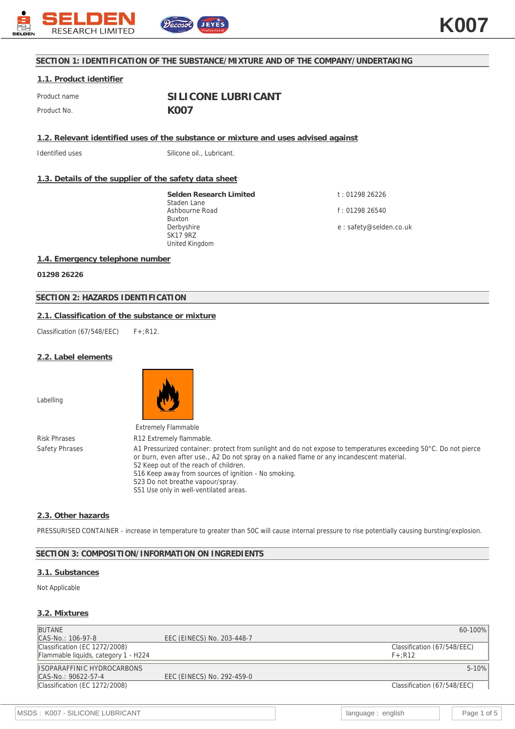

## **SECTION 1: IDENTIFICATION OF THE SUBSTANCE/MIXTURE AND OF THE COMPANY/UNDERTAKING**

## **1.1. Product identifier**

Product name **SILICONE LUBRICANT** Product No. **KOO7** 

**1.2. Relevant identified uses of the substance or mixture and uses advised against**

Identified uses Silicone oil., Lubricant.

## **1.3. Details of the supplier of the safety data sheet**

**Selden Research Limited** Staden Lane Ashbourne Road Buxton Derbyshire SK17 9RZ United Kingdom

t : 01298 26226 f : 01298 26540

e : safety@selden.co.uk

## **1.4. Emergency telephone number**

**01298 26226**

## **SECTION 2: HAZARDS IDENTIFICATION**

## **2.1. Classification of the substance or mixture**

Classification (67/548/EEC)  $F+ :R12$ .

#### **2.2. Label elements**

Labelling



Risk Phrases R12 Extremely flammable.

Safety Phrases A1 Pressurized container: protect from sunlight and do not expose to temperatures exceeding 50°C. Do not pierce or burn, even after use., A2 Do not spray on a naked flame or any incandescent material. S2 Keep out of the reach of children. S16 Keep away from sources of ignition - No smoking. S23 Do not breathe vapour/spray. S51 Use only in well-ventilated areas.

## **2.3. Other hazards**

PRESSURISED CONTAINER - increase in temperature to greater than 50C will cause internal pressure to rise potentially causing bursting/explosion.

## **SECTION 3: COMPOSITION/INFORMATION ON INGREDIENTS**

#### **3.1. Substances**

#### Not Applicable

#### **3.2. Mixtures**

| 60-100%                     |
|-----------------------------|
|                             |
| Classification (67/548/EEC) |
|                             |
| $5 - 10%$                   |
|                             |
| Classification (67/548/EEC) |
|                             |
|                             |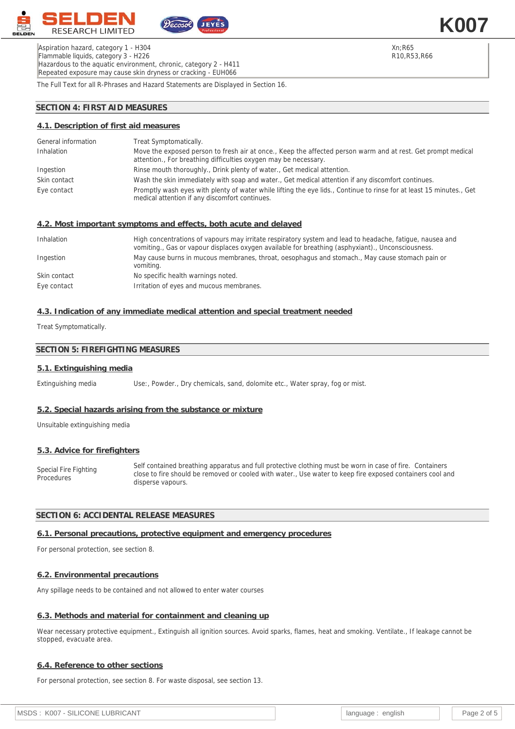

Aspiration hazard, category 1 - H304 Flammable liquids, category 3 - H226 Hazardous to the aquatic environment, chronic, category 2 - H411 Repeated exposure may cause skin dryness or cracking - EUH066

Xn;R65 R10,R53,R66 **K007**

The Full Text for all R-Phrases and Hazard Statements are Displayed in Section 16.

## **SECTION 4: FIRST AID MEASURES**

## **4.1. Description of first aid measures**

| General information | Treat Symptomatically.                                                                                                                                                          |
|---------------------|---------------------------------------------------------------------------------------------------------------------------------------------------------------------------------|
| Inhalation          | Move the exposed person to fresh air at once., Keep the affected person warm and at rest. Get prompt medical<br>attention., For breathing difficulties oxygen may be necessary. |
| Ingestion           | Rinse mouth thoroughly., Drink plenty of water., Get medical attention.                                                                                                         |
| Skin contact        | Wash the skin immediately with soap and water., Get medical attention if any discomfort continues.                                                                              |
| Eye contact         | Promptly wash eyes with plenty of water while lifting the eye lids., Continue to rinse for at least 15 minutes., Get<br>medical attention if any discomfort continues.          |

### **4.2. Most important symptoms and effects, both acute and delayed**

| Inhalation   | High concentrations of vapours may irritate respiratory system and lead to headache, fatigue, nausea and<br>vomiting., Gas or vapour displaces oxygen available for breathing (asphyxiant)., Unconsciousness. |
|--------------|---------------------------------------------------------------------------------------------------------------------------------------------------------------------------------------------------------------|
| Ingestion    | May cause burns in mucous membranes, throat, oesophagus and stomach., May cause stomach pain or<br>vomiting.                                                                                                  |
| Skin contact | No specific health warnings noted.                                                                                                                                                                            |
| Eye contact  | Irritation of eyes and mucous membranes.                                                                                                                                                                      |

## **4.3. Indication of any immediate medical attention and special treatment needed**

Treat Symptomatically.

## **SECTION 5: FIREFIGHTING MEASURES**

#### **5.1. Extinguishing media**

Extinguishing media Use:, Powder., Dry chemicals, sand, dolomite etc., Water spray, fog or mist.

#### **5.2. Special hazards arising from the substance or mixture**

Unsuitable extinguishing media

#### **5.3. Advice for firefighters**

Special Fire Fighting Procedures Self contained breathing apparatus and full protective clothing must be worn in case of fire. Containers close to fire should be removed or cooled with water., Use water to keep fire exposed containers cool and disperse vapours.

## **SECTION 6: ACCIDENTAL RELEASE MEASURES**

#### **6.1. Personal precautions, protective equipment and emergency procedures**

For personal protection, see section 8.

### **6.2. Environmental precautions**

Any spillage needs to be contained and not allowed to enter water courses

### **6.3. Methods and material for containment and cleaning up**

Wear necessary protective equipment., Extinguish all ignition sources. Avoid sparks, flames, heat and smoking. Ventilate., If leakage cannot be stopped, evacuate area.

#### **6.4. Reference to other sections**

For personal protection, see section 8. For waste disposal, see section 13.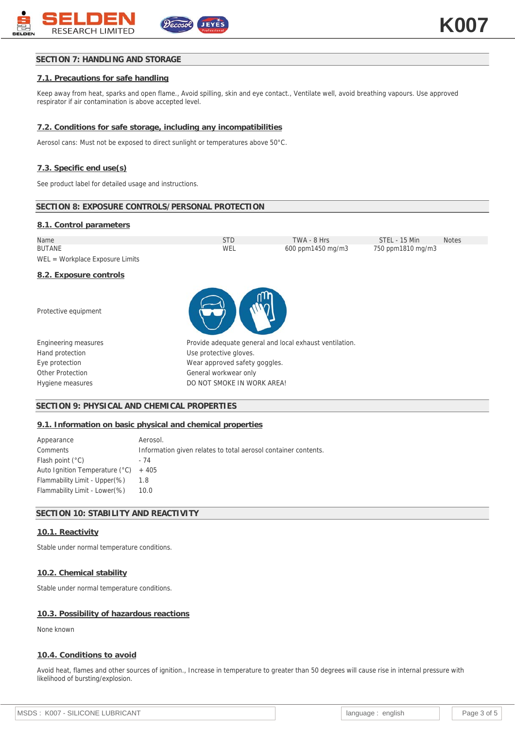# **SECTION 7: HANDLING AND STORAGE**

# **7.1. Precautions for safe handling**

Keep away from heat, sparks and open flame., Avoid spilling, skin and eye contact., Ventilate well, avoid breathing vapours. Use approved respirator if air contamination is above accepted level.

# **7.2. Conditions for safe storage, including any incompatibilities**

Aerosol cans: Must not be exposed to direct sunlight or temperatures above 50°C.

# **7.3. Specific end use(s)**

See product label for detailed usage and instructions.

# **SECTION 8: EXPOSURE CONTROLS/PERSONAL PROTECTION**

# **8.1. Control parameters**

| Name                            | STD | TWA - 8 Hrs       | STEL - 15 Min     | <b>Notes</b> |
|---------------------------------|-----|-------------------|-------------------|--------------|
| <b>BUTANE</b>                   | WEL | 600 ppm1450 mg/m3 | 750 ppm1810 mg/m3 |              |
| WEL = Workplace Exposure Limits |     |                   |                   |              |

**8.2. Exposure controls**

Protective equipment





| Provide adequate general and local exhaust ventilation |
|--------------------------------------------------------|
| Use protective gloves.                                 |
| Wear approved safety goggles.                          |
| General workwear only                                  |
| DO NOT SMOKE IN WORK AREA!                             |

## **SECTION 9: PHYSICAL AND CHEMICAL PROPERTIES**

### **9.1. Information on basic physical and chemical properties**

| Appearance                             | Aerosol.                                                       |
|----------------------------------------|----------------------------------------------------------------|
| Comments                               | Information given relates to total aerosol container contents. |
| Flash point $(^{\circ}C)$              | - 74                                                           |
| Auto Ignition Temperature $(°C)$ + 405 |                                                                |
| Flammability Limit - Upper(%)          | 1.8                                                            |
| Flammability Limit - Lower (%)         | 10.0                                                           |

## **SECTION 10: STABILITY AND REACTIVITY**

### **10.1. Reactivity**

Stable under normal temperature conditions.

### **10.2. Chemical stability**

Stable under normal temperature conditions.

### **10.3. Possibility of hazardous reactions**

None known

### **10.4. Conditions to avoid**

Avoid heat, flames and other sources of ignition., Increase in temperature to greater than 50 degrees will cause rise in internal pressure with likelihood of bursting/explosion.

| MSDS: K007 - SILICONE LUBRICANT | language: english |  | Page 3 of 5 |
|---------------------------------|-------------------|--|-------------|
|                                 |                   |  |             |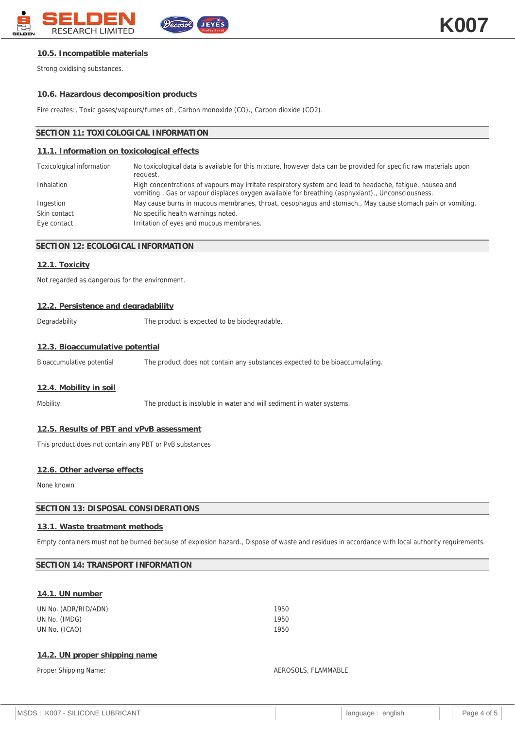

### **10.5. Incompatible materials**

Strong oxidising substances.

#### **10.6. Hazardous decomposition products**

Fire creates:, Toxic gases/vapours/fumes of:, Carbon monoxide (CO)., Carbon dioxide (CO2).

#### **SECTION 11: TOXICOLOGICAL INFORMATION**

#### **11.1. Information on toxicological effects**

| Toxicological information | No toxicological data is available for this mixture, however data can be provided for specific raw materials upon<br>request.                                                                                 |
|---------------------------|---------------------------------------------------------------------------------------------------------------------------------------------------------------------------------------------------------------|
| Inhalation                | High concentrations of vapours may irritate respiratory system and lead to headache, fatigue, nausea and<br>vomiting., Gas or vapour displaces oxygen available for breathing (asphyxiant)., Unconsciousness. |
| Ingestion                 | May cause burns in mucous membranes, throat, oesophagus and stomach., May cause stomach pain or vomiting.                                                                                                     |
| Skin contact              | No specific health warnings noted.                                                                                                                                                                            |
| Eye contact               | Irritation of eyes and mucous membranes.                                                                                                                                                                      |

## **SECTION 12: ECOLOGICAL INFORMATION**

### **12.1. Toxicity**

Not regarded as dangerous for the environment.

#### **12.2. Persistence and degradability**

Degradability The product is expected to be biodegradable.

#### **12.3. Bioaccumulative potential**

Bioaccumulative potential The product does not contain any substances expected to be bioaccumulating.

#### **12.4. Mobility in soil**

Mobility: The product is insoluble in water and will sediment in water systems.

#### **12.5. Results of PBT and vPvB assessment**

This product does not contain any PBT or PvB substances

## **12.6. Other adverse effects**

None known

## **SECTION 13: DISPOSAL CONSIDERATIONS**

### **13.1. Waste treatment methods**

Empty containers must not be burned because of explosion hazard., Dispose of waste and residues in accordance with local authority requirements.

### **SECTION 14: TRANSPORT INFORMATION**

### **14.1. UN number**

UN No. (ADR/RID/ADN) 1950 UN No. (IMDG) 1950 UN No. (ICAO) 1950

#### **14.2. UN proper shipping name**

#### Proper Shipping Name: AEROSOLS, FLAMMABLE

| MSDS: K007 - SILICONE LUBRICANT | language :<br>enalish |  | Page 4 of 5 |
|---------------------------------|-----------------------|--|-------------|
|---------------------------------|-----------------------|--|-------------|